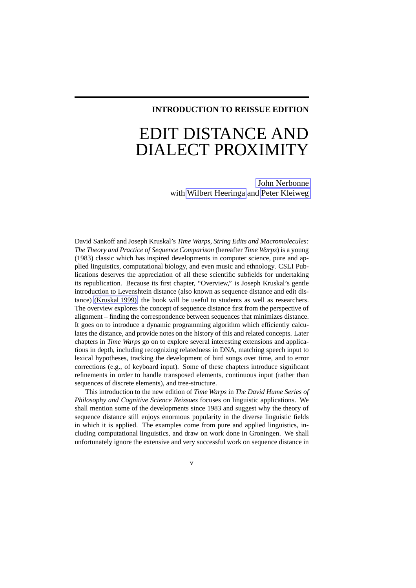# **INTRODUCTION TO REISSUE EDITION**

# EDIT DISTANCE AND DIALECT PROXIMITY

John [Nerbonne](http://www.let.rug.nl/~nerbonne/) with Wilbert [Heeringa](http://www.let.rug.nl/~heeringa/) and Peter [Kleiweg](http://www.let.rug.nl/~kleiweg/)

David Sankoff and Joseph Kruskal's *Time Warps, String Edits and Macromolecules: The Theory and Practice of Sequence Comparison* (hereafter*Time Warps*) is a young (1983) classic which has inspired developments in computer science, pure and applied linguistics, computational biology, and even music and ethnology. CSLI Publications deserves the appreciation of all these scientific subfields for undertaking its republication. Because its first chapter, "Overview," is Joseph Kruskal's gentle introduction to Levenshtein distance (also known as sequence distance and edit distance) [\(Kruskal](#page-9-0) 1999), the book will be useful to students as well as researchers. The overview explores the concept of sequence distance first from the perspective of alignment – finding the correspondence between sequences that minimizes distance. It goes on to introduce a dynamic programming algorithm which efficiently calculates the distance, and provide notes on the history of this and related concepts. Later chapters in *Time Warps* go on to explore several interesting extensions and applications in depth, including recognizing relatedness in DNA, matching speech input to lexical hypotheses, tracking the development of bird songs over time, and to error corrections (e.g., of keyboard input). Some of these chapters introduce significant refinements in order to handle transposed elements, continuous input (rather than sequences of discrete elements), and tree-structure.

This introduction to the new edition of *Time Warps* in *The David Hume Series of Philosophy and Cognitive Science Reissues* focuses on linguistic applications. We shall mention some of the developments since 1983 and suggest why the theory of sequence distance still enjoys enormous popularity in the diverse linguistic fields in which it is applied. The examples come from pure and applied linguistics, including computational linguistics, and draw on work done in Groningen. We shall unfortunately ignore the extensive and very successful work on sequence distance in

v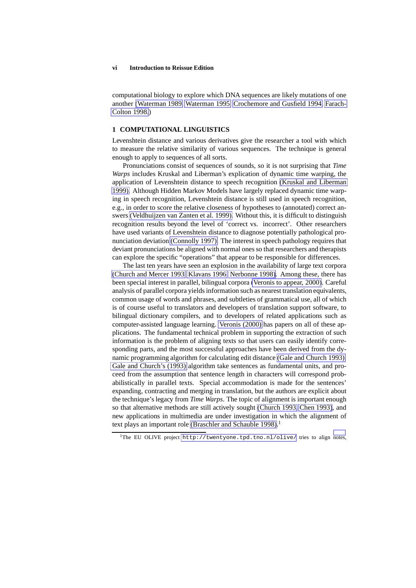#### **vi Introduction to Reissue Edition**

computational biology to explore which DNA sequences are likely mutations of one another [\(Waterman](#page-10-0) 1989, [Waterman](#page-10-1) 1995, [Crochemore](#page-9-1) and Gusfield 1994, [Farach-](#page-9-2)[Colton](#page-9-2) 1998.)

#### **1 COMPUTATIONAL LINGUISTICS**

Levenshtein distance and various derivatives give the researcher a tool with which to measure the relative similarity of various sequences. The technique is general enough to apply to sequences of all sorts.

Pronunciations consist of sequences of sounds, so it is not surprising that *Time Warps* includes Kruskal and Liberman's explication of dynamic time warping, the application of Levenshtein distance to speech recognition (Kruskal and [Liberman](#page-9-3) [1999\).](#page-9-3) Although Hidden Markov Models have largely replaced dynamic time warping in speech recognition, Levenshtein distance is still used in speech recognition, e.g., in order to score the relative closeness of hypotheses to (annotated) correct answers [\(Veldhuijzen](#page-10-2) van Zanten et al. 1999). Without this, it is difficult to distinguish recognition results beyond the level of 'correct vs. incorrect'. Other researchers have used variants of Levenshtein distance to diagnose potentially pathological pronunciation deviation [\(Connolly](#page-9-4) 1997). The interestin speech pathology requires that deviant pronunciations be aligned with normal onesso that researchers and therapists can explore the specific "operations" that appear to be responsible for differences.

The last ten years have seen an explosion in the availability of large text corpora [\(Church](#page-9-5) and Mercer 1993, [Klavans](#page-9-6) 1996, [Nerbonne](#page-9-7) 1998). Among these, there has been special interest in parallel, bilingual corpora [\(Veronis](#page-10-3) to appear, 2000). Careful analysis of parallel corpora yields information such as nearest translation equivalents, common usage of words and phrases, and subtleties of grammatical use, all of which is of course useful to translators and developers of translation support software, to bilingual dictionary compilers, and to developers of related applications such as computer-assisted language learning. [Veronis](#page-10-3) (2000) has papers on all of these applications. The fundamental technical problem in supporting the extraction of such information is the problem of aligning texts so that users can easily identify corresponding parts, and the most successful approaches have been derived from the dynamic programming algorithm for calculating edit distance (Gale and [Church](#page-9-8) 1993). Gale and [Church's](#page-9-8) (1993) algorithm take sentences as fundamental units, and proceed from the assumption that sentence length in characters will correspond probabilistically in parallel texts. Special accommodation is made for the sentences' expanding, contracting and merging in translation, but the authors are explicit about the technique'slegacy from *Time Warps*. The topic of alignmentis important enough so that alternative methods are still actively sought [\(Church](#page-9-9) 1993, Chen [1993\)](#page-9-10), and new applications in multimedia are under investigation in which the alignment of text plays an important role [\(Braschler](#page-8-0) and Schauble 1998).<sup>1</sup>

<sup>&</sup>lt;sup>1</sup>The EU OLIVE project <http://twentyone.tpd.tno.nl/olive/> tries to align [notes,](#page-2-0)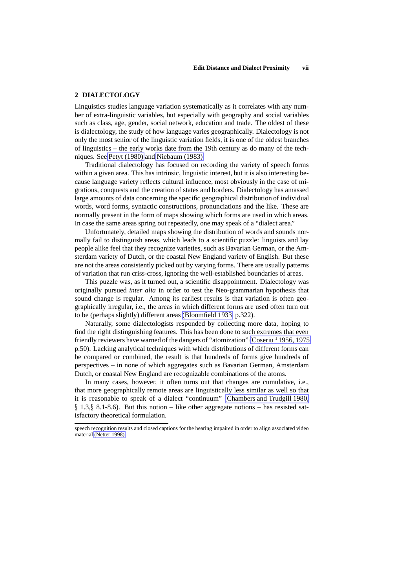# **2 DIALECTOLOGY**

Linguistics studies language variation systematically as it correlates with any number of extra-linguistic variables, but especially with geography and social variables such as class, age, gender, social network, education and trade. The oldest of these is dialectology, the study of how language varies geographically. Dialectology is not only the most senior of the linguistic variation fields, it is one of the oldest branches of linguistics – the early works date from the 19th century as do many of the techniques. See Petyt [\(1980\)](#page-10-4) and [Niebaum](#page-10-5) (1983).

Traditional dialectology has focused on recording the variety of speech forms within a given area. This has intrinsic, linguistic interest, but it is also interesting because language variety reflects cultural influence, most obviously in the case of migrations, conquests and the creation of states and borders. Dialectology has amassed large amounts of data concerning the specific geographical distribution of individual words, word forms, syntactic constructions, pronunciations and the like. These are normally present in the form of maps showing which forms are used in which areas. In case the same areas spring out repeatedly, one may speak of a "dialect area."

Unfortunately, detailed maps showing the distribution of words and sounds normally fail to distinguish areas, which leads to a scientific puzzle: linguists and lay people alike feel that they recognize varieties, such as Bavarian German, or the Amsterdam variety of Dutch, or the coastal New England variety of English. But these are not the areas consistently picked out by varying forms. There are usually patterns of variation that run criss-cross, ignoring the well-established boundaries of areas.

This puzzle was, as it turned out, a scientific disappointment. Dialectology was originally pursued *inter alia* in order to test the Neo-grammarian hypothesis that sound change is regular. Among its earliest results is that variation is often geographically irregular, i.e., the areas in which different forms are used often turn out to be (perhaps slightly) different areas [\(Bloomfield](#page-8-1) 1933, p.322).

Naturally, some dialectologists responded by collecting more data, hoping to find the right distinguishing features. This has been done to such extremes that even friendly reviewers have warned of the dangers of "atomization" [\(Coseriu](#page-9-11) <sup>1</sup> 1956, 1975, p.50). Lacking analytical techniques with which distributions of different forms can be compared or combined, the result is that hundreds of forms give hundreds of perspectives – in none of which aggregates such as Bavarian German, Amsterdam Dutch, or coastal New England are recognizable combinations of the atoms.

In many cases, however, it often turns out that changes are cumulative, i.e., that more geographically remote areas are linguistically less similar as well so that it is reasonable to speak of a dialect "continuum" [\(Chambers](#page-9-12) and Trudgill 1980,  $\S$  1.3,  $\S$  8.1-8.6). But this notion – like other aggregate notions – has resisted satisfactory theoretical formulation.

<span id="page-2-0"></span>speech recognition results and closed captions for the hearing impaired in order to align associated video material [\(Netter](#page-10-6) 1998).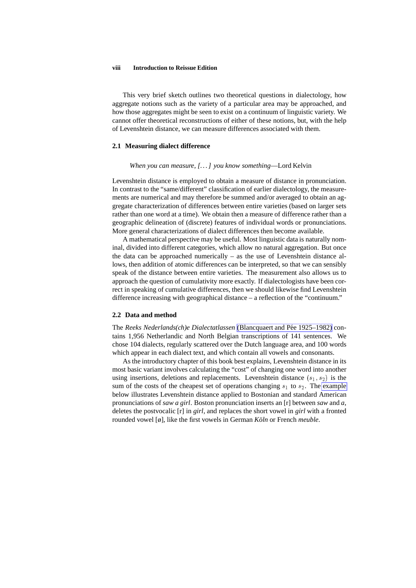#### **viii Introduction to Reissue Edition**

This very brief sketch outlines two theoretical questions in dialectology, how aggregate notions such as the variety of a particular area may be approached, and how those aggregates might be seen to exist on a continuum of linguistic variety. We cannot offer theoretical reconstructions of either of these notions, but, with the help of Levenshtein distance, we can measure differences associated with them.

## **2.1 Measuring dialect difference**

#### *When you can measure, [. . .] you know something*—Lord Kelvin

Levenshtein distance is employed to obtain a measure of distance in pronunciation. In contrast to the "same/different" classification of earlier dialectology, the measurements are numerical and may therefore be summed and/or averaged to obtain an aggregate characterization of differences between entire varieties (based on larger sets rather than one word at a time). We obtain then a measure of difference rather than a geographic delineation of (discrete) features of individual words or pronunciations. More general characterizations of dialect differences then become available.

A mathematical perspective may be useful. Most linguistic data is naturally nominal, divided into different categories, which allow no natural aggregation. But once the data can be approached numerically – as the use of Levenshtein distance allows, then addition of atomic differences can be interpreted, so that we can sensibly speak of the distance between entire varieties. The measurement also allows us to approach the question of cumulativity more exactly. If dialectologists have been correct in speaking of cumulative differences, then we should likewisefind Levenshtein difference increasing with geographical distance – a reflection of the "continuum."

#### **2.2 Data and method**

The *Reeks Nederlands(ch)e Dialectatlassen* [\(Blancquaert](#page-8-2) and Pee´ 1925–1982) contains 1,956 Netherlandic and North Belgian transcriptions of 141 sentences. We chose 104 dialects, regularly scattered over the Dutch language area, and 100 words which appear in each dialect text, and which contain all vowels and consonants.

As the introductory chapter of this book best explains, Levenshtein distance in its most basic variant involves calculating the "cost" of changing one word into another using insertions, deletions and replacements. Levenshtein distance  $(s_1, s_2)$  is the sum of the costs of the cheapest set of operations changing  $s_1$  to  $s_2$ . The [example](#page-4-0) below illustrates Levenshtein distance applied to Bostonian and standard American pronunciations of *saw a girl*. Boston pronunciation inserts an [r] between *saw* and *a*, deletes the postvocalic [r] in *girl*, and replaces the short vowel in *girl* with a fronted rounded vowel [ø], like the first vowels in German *Köln* or French *meuble*.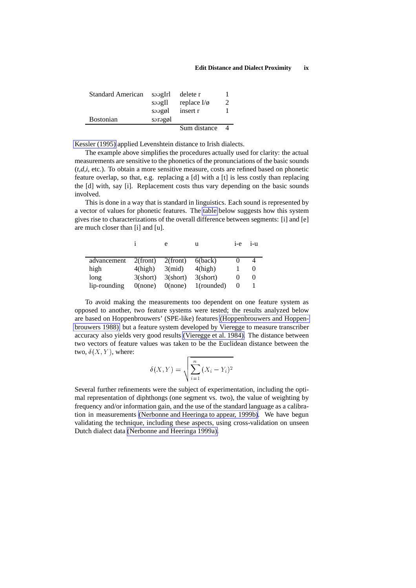#### **Edit Distance and Dialect Proximity ix**

<span id="page-4-0"></span>

| <b>Standard American</b> | soagIrl | delete r         |   |
|--------------------------|---------|------------------|---|
|                          | s       | replace $I/\phi$ | 2 |
|                          | soagøl  | insert r         |   |
| <b>Bostonian</b>         | soraggl |                  |   |
|                          |         | Sum distance     |   |

[Kessler](#page-9-13) (1995) applied Levenshtein distance to Irish dialects.

The example above simplifies the procedures actually used for clarity: the actual measurements are sensitive to the phonetics of the pronunciations of the basic sounds (*t,d,i,* etc.). To obtain a more sensitive measure, costs are refined based on phonetic feature overlap, so that, e.g. replacing a [d] with a [t] is less costly than replacing the [d] with, say [i]. Replacement costs thus vary depending on the basic sounds involved.

This is done in a way that is standard in linguistics. Each sound is represented by a vector of values for phonetic features. The table below suggests how this system gives rise to characterizations of the overall difference between segments: [i] and [e] are much closer than [i] and [u].

|              |                  |                     | u          | $1 - e$ | $1 - 11$ |
|--------------|------------------|---------------------|------------|---------|----------|
|              |                  |                     |            |         |          |
| advancement  | $2$ (front)      | $2$ (front) 6(back) |            |         |          |
| high         | $4$ (high)       | $3$ (mid)           | $4$ (high) |         |          |
| long         | 3 <b>(short)</b> | 3(short)            | 3(short)   |         |          |
| lip-rounding | $0$ (none)       | $0$ (none)          | 1(rounded) |         |          |

To avoid making the measurements too dependent on one feature system as opposed to another, two feature systems were tested; the results analyzed below are based on Hoppenbrouwers' (SPE-like) features [\(Hoppenbrouwers](#page-9-14) and Hoppen[brouwers](#page-9-14) 1988), but a feature system developed by Vieregge to measure transcriber accuracy also yields very good results [\(Vieregge](#page-10-7) et al. 1984). The distance between two vectors of feature values was taken to be the Euclidean distance between the two,  $\delta(X, Y)$ , where:

$$
\delta(X,Y) = \sqrt{\sum_{i=1}^{n} (X_i - Y_i)^2}
$$

Several further refinements were the subject of experimentation, including the optimal representation of diphthongs (one segment vs. two), the value of weighting by frequency and/or information gain, and the use of the standard language as a calibration in measurements [\(Nerbonne](#page-10-8) and Heeringa to appear, 1999b). We have begun validating the technique, including these aspects, using cross-validation on unseen Dutch dialect data [\(Nerbonne](#page-9-15) and Heeringa 1999a).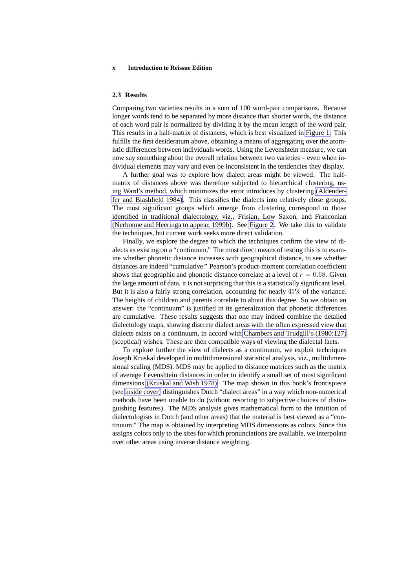#### **x Introduction to Reissue Edition**

#### **2.3 Results**

Comparing two varieties results in a sum of 100 word-pair comparisons. Because longer words tend to be separated by more distance than shorter words, the distance of each word pair is normalized by dividing it by the mean length of the word pair. This results in a half-matrix of distances, which is best visualized in [Figure](#page-6-0) 1. This fulfills the first desideratum above, obtaining a means of aggregating over the atomistic differences between individuals words. Using the Levenshtein measure, we can now say something about the overall relation between two varieties – even when individual elements may vary and even be inconsistent in the tendencies they display.

A further goal was to explore how dialect areas might be viewed. The halfmatrix of distances above was therefore subjected to hierarchical clustering, using Ward's method, which minimizes the error introduces by clustering [\(Aldender](#page-8-3)fer and [Blashfield](#page-8-3) 1984). This classifies the dialects into relatively close groups. The most significant groups which emerge from clustering correspond to those identified in traditional dialectology, viz., Frisian, Low Saxon, and Franconian [\(Nerbonne](#page-10-8) and Heeringa to appear, 1999b). See [Figure](#page-7-0) 2. We take this to validate the techniques, but current work seeks more direct validation.

Finally, we explore the degree to which the techniques confirm the view of dialects as existing on a "continuum." The most direct means of testing this is to examine whether phonetic distance increases with geographical distance, to see whether distances are indeed "cumulative." Pearson's product-moment correlation coefficient shows that geographic and phonetic distance correlate at a level of  $r = 0.68$ . Given the large amount of data, it is not surprising that this is a statistically significant level. But it is also a fairly strong correlation, accounting for nearly  $45\%$  of the variance. The heights of children and parents correlate to about this degree. So we obtain an answer: the "continuum" is justified in its generalization that phonetic differences are cumulative. These results suggests that one may indeed combine the detailed dialectology maps, showing discrete dialect areas with the often expressed view that dialects exists on a continuum, in accord with Chambers and Trudgill's [\(1980:127\)](#page-9-12) (sceptical) wishes. These are then compatible ways of viewing the dialectal facts.

To explore further the view of dialects as a continuum, we exploit techniques Joseph Kruskal developed in multidimensional statistical analysis, viz., multidimensional scaling (MDS). MDS may be applied to distance matrices such as the matrix of average Levenshtein distances in order to identify a small set of most significant dimensions [\(Kruskal](#page-9-16) and Wish 1978). The map shown in this book's frontispiece (see [inside](#page-11-0) cover) distinguishes Dutch "dialect areas" in a way which non-numerical methods have been unable to do (without resorting to subjective choices of distinguishing features). The MDS analysis gives mathematical form to the intuition of dialectologists in Dutch (and other areas) that the material is best viewed as a "continuum." The map is obtained by interpreting MDS dimensions as colors. Since this assigns colors only to the sites for which pronunciations are available, we interpolate over other areas using inverse distance weighting.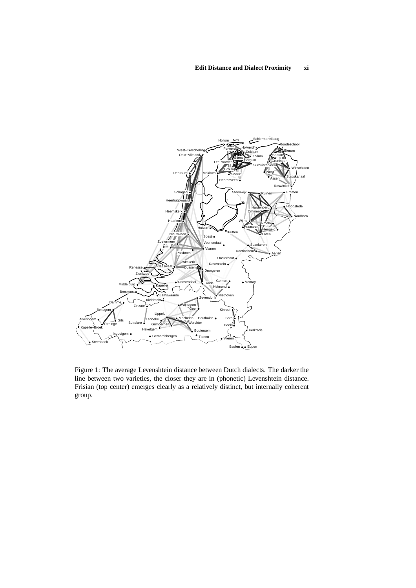<span id="page-6-0"></span>

Figure 1: The average Levenshtein distance between Dutch dialects. The darker the line between two varieties, the closer they are in (phonetic) Levenshtein distance. Frisian (top center) emerges clearly as a relatively distinct, but internally coherent group.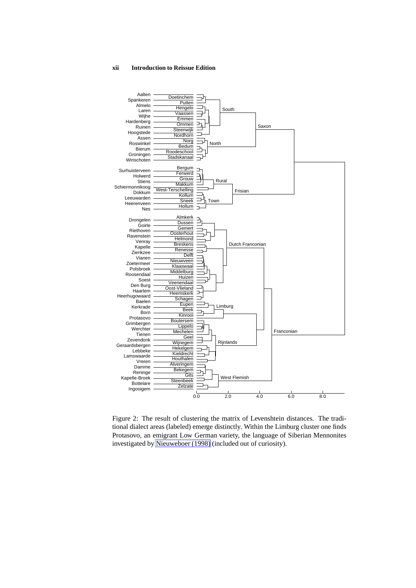#### <span id="page-7-0"></span>**xii Introduction to Reissue Edition**



Figure 2: The result of clustering the matrix of Levenshtein distances. The traditional dialect areas (labeled) emerge distinctly. Within the Limburg cluster one finds Protasovo, an emigrant Low German variety, the language of Siberian Mennonites investigated by [Nieuweboer](#page-10-9) (1998) (included out of curiosity).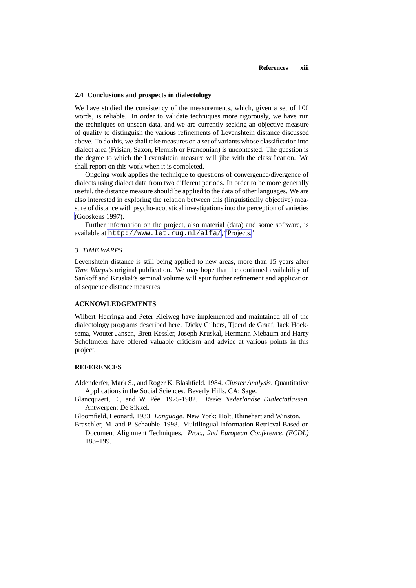#### **2.4 Conclusions and prospects in dialectology**

We have studied the consistency of the measurements, which, given a set of  $100$ words, is reliable. In order to validate techniques more rigorously, we have run the techniques on unseen data, and we are currently seeking an objective measure of quality to distinguish the various refinements of Levenshtein distance discussed above. To do this, we shall take measures on a set of variants whose classification into dialect area (Frisian, Saxon, Flemish or Franconian) is uncontested. The question is the degree to which the Levenshtein measure will jibe with the classification. We shall report on this work when it is completed.

Ongoing work applies the technique to questions of convergence/divergence of dialects using dialect data from two different periods. In order to be more generally useful, the distance measure should be applied to the data of other languages. We are also interested in exploring the relation between this (linguistically objective) measure of distance with psycho-acousticalinvestigationsinto the perception of varieties [\(Gooskens](#page-9-17) 1997).

Further information on the project, also material (data) and some software, is available at <http://www.let.rug.nl/alfa/>, ["Projects."](http://www.let.rug.nl/alfa/projects.html)

#### **3** *TIME WARPS*

Levenshtein distance is still being applied to new areas, more than 15 years after *Time Warps*'s original publication. We may hope that the continued availability of Sankoff and Kruskal's seminal volume will spur further refinement and application of sequence distance measures.

## **ACKNOWLEDGEMENTS**

Wilbert Heeringa and Peter Kleiweg have implemented and maintained all of the dialectology programs described here. Dicky Gilbers, Tjeerd de Graaf, Jack Hoeksema, Wouter Jansen, Brett Kessler, Joseph Kruskal, Hermann Niebaum and Harry Scholtmeier have offered valuable criticism and advice at various points in this project.

# **REFERENCES**

- <span id="page-8-3"></span>Aldenderfer, Mark S., and Roger K. Blashfield. 1984. *Cluster Analysis*. Quantitative Applications in the Social Sciences. Beverly Hills, CA: Sage.
- <span id="page-8-2"></span>Blancquaert, E., and W. Pee. ´ 1925-1982. *Reeks Nederlandse Dialectatlassen*. Antwerpen: De Sikkel.
- <span id="page-8-1"></span>Bloomfield, Leonard. 1933. *Language*. New York: Holt, Rhinehart and Winston.
- <span id="page-8-0"></span>Braschler, M. and P. Schauble. 1998. Multilingual Information Retrieval Based on Document Alignment Techniques. *Proc., 2nd European Conference, (ECDL)* 183–199.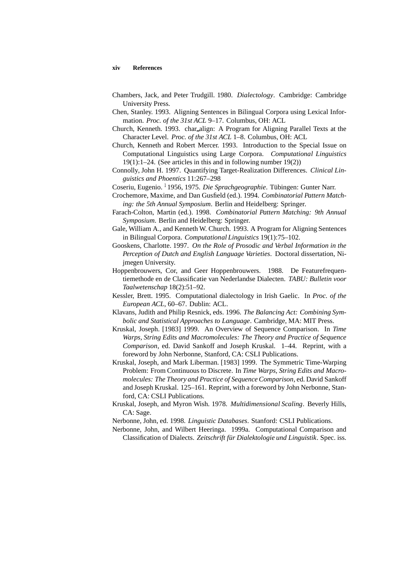#### **xiv References**

- <span id="page-9-12"></span>Chambers, Jack, and Peter Trudgill. 1980. *Dialectology*. Cambridge: Cambridge University Press.
- <span id="page-9-10"></span>Chen, Stanley. 1993. Aligning Sentences in Bilingual Corpora using Lexical Information. *Proc. of the 31st ACL* 9–17. Columbus, OH: ACL
- <span id="page-9-9"></span>Church, Kenneth. 1993. char align: A Program for Aligning Parallel Texts at the Character Level. *Proc. of the 31st ACL* 1–8. Columbus, OH: ACL
- <span id="page-9-5"></span>Church, Kenneth and Robert Mercer. 1993. Introduction to the Special Issue on Computational Linguistics using Large Corpora. *Computational Linguistics* 19(1):1–24. (See articles in this and in following number 19(2))
- <span id="page-9-4"></span>Connolly, John H. 1997. Quantifying Target-Realization Differences. *Clinical Linguistics and Phoentics* 11:267–298

<span id="page-9-11"></span>Coseriu, Eugenio. <sup>1</sup>1956, 1975. *Die Sprachgeographie*. Tübingen: Gunter Narr.

- <span id="page-9-1"></span>Crochemore, Maxime, and Dan Gusfield (ed.). 1994. *Combinatorial Pattern Matching: the 5th Annual Symposium*. Berlin and Heidelberg: Springer.
- <span id="page-9-2"></span>Farach-Colton, Martin (ed.). 1998. *Combinatorial Pattern Matching: 9th Annual Symposium*. Berlin and Heidelberg: Springer.
- <span id="page-9-8"></span>Gale, William A., and Kenneth W. Church. 1993. A Program for Aligning Sentences in Bilingual Corpora. *ComputationalLinguistics* 19(1):75–102.
- <span id="page-9-17"></span>Gooskens, Charlotte. 1997. *On the Role of Prosodic and Verbal Information in the Perception of Dutch and English Language Varieties*. Doctoral dissertation, Nijmegen University.
- <span id="page-9-14"></span>Hoppenbrouwers, Cor, and Geer Hoppenbrouwers. 1988. De Featurefrequentiemethode en de Classificatie van Nederlandse Dialecten. *TABU: Bulletin voor Taalwetenschap* 18(2):51–92.
- <span id="page-9-13"></span>Kessler, Brett. 1995. Computational dialectology in Irish Gaelic. In *Proc. of the European ACL*, 60–67. Dublin: ACL.
- <span id="page-9-6"></span>Klavans, Judith and Philip Resnick, eds. 1996. *The Balancing Act: Combining Symbolic and Statistical Approaches to Language*. Cambridge, MA: MIT Press.
- <span id="page-9-0"></span>Kruskal, Joseph. [1983] 1999. An Overview of Sequence Comparison. In *Time Warps, String Edits and Macromolecules: The Theory and Practice of Sequence Comparison*, ed. David Sankoff and Joseph Kruskal. 1–44. Reprint, with a foreword by John Nerbonne, Stanford, CA: CSLI Publications.
- <span id="page-9-3"></span>Kruskal, Joseph, and Mark Liberman. [1983] 1999. The Symmetric Time-Warping Problem: From Continuous to Discrete. In *Time Warps, String Edits and Macromolecules: TheTheory and Practice of SequenceComparison*, ed. David Sankoff and Joseph Kruskal. 125–161. Reprint, with a foreword by John Nerbonne, Stanford, CA: CSLI Publications.
- <span id="page-9-16"></span>Kruskal, Joseph, and Myron Wish. 1978. *Multidimensional Scaling*. Beverly Hills, CA: Sage.

<span id="page-9-7"></span>Nerbonne, John, ed. 1998. *Linguistic Databases*. Stanford: CSLI Publications.

<span id="page-9-15"></span>Nerbonne, John, and Wilbert Heeringa. 1999a. Computational Comparison and Classification of Dialects. *Zeitschrift fur¨ Dialektologie und Linguistik*. Spec. iss.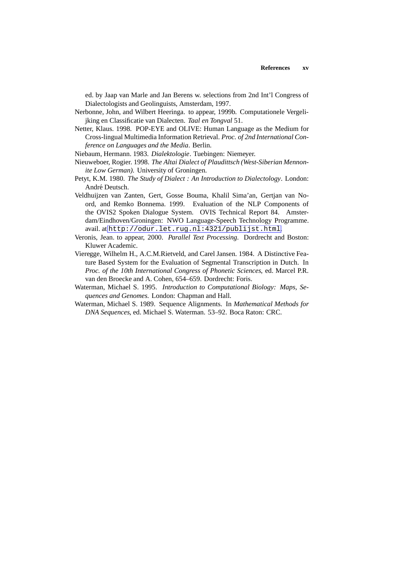ed. by Jaap van Marle and Jan Berens w. selections from 2nd Int'l Congress of Dialectologists and Geolinguists, Amsterdam, 1997.

- <span id="page-10-8"></span>Nerbonne, John, and Wilbert Heeringa. to appear, 1999b. Computationele Vergelijking en Classificatie van Dialecten. *Taal en Tongval* 51.
- <span id="page-10-6"></span>Netter, Klaus. 1998. POP-EYE and OLIVE: Human Language as the Medium for Cross-lingual Multimedia Information Retrieval. *Proc. of 2nd International Conference on Languages and the Media*. Berlin.

<span id="page-10-5"></span>Niebaum, Hermann. 1983. *Dialektologie*. Tuebingen: Niemeyer.

- <span id="page-10-9"></span>Nieuweboer, Rogier. 1998. *The Altai Dialect of Plaudittsch (West-Siberian Mennonite Low German)*. University of Groningen.
- <span id="page-10-4"></span>Petyt, K.M. 1980. *The Study of Dialect : An Introduction to Dialectology*. London: André Deutsch.
- <span id="page-10-2"></span>Veldhuijzen van Zanten, Gert, Gosse Bouma, Khalil Sima'an, Gertjan van Noord, and Remko Bonnema. 1999. Evaluation of the NLP Components of the OVIS2 Spoken Dialogue System. OVIS Technical Report 84. Amsterdam/Eindhoven/Groningen: NWO Language-Speech Technology Programme. avail. at <http://odur.let.rug.nl:4321/publijst.html>.
- <span id="page-10-3"></span>Veronis, Jean. to appear, 2000. *Parallel Text Processing*. Dordrecht and Boston: Kluwer Academic.
- <span id="page-10-7"></span>Vieregge, Wilhelm H., A.C.M.Rietveld, and Carel Jansen. 1984. A Distinctive Feature Based System for the Evaluation of Segmental Transcription in Dutch. In *Proc. of the 10th International Congress of Phonetic Sciences*, ed. Marcel P.R. van den Broecke and A. Cohen, 654–659. Dordrecht: Foris.
- <span id="page-10-1"></span>Waterman, Michael S. 1995. *Introduction to Computational Biology: Maps, Sequences and Genomes*. London: Chapman and Hall.
- <span id="page-10-0"></span>Waterman, Michael S. 1989. Sequence Alignments. In *Mathematical Methods for DNA Sequences*, ed. Michael S. Waterman. 53–92. Boca Raton: CRC.